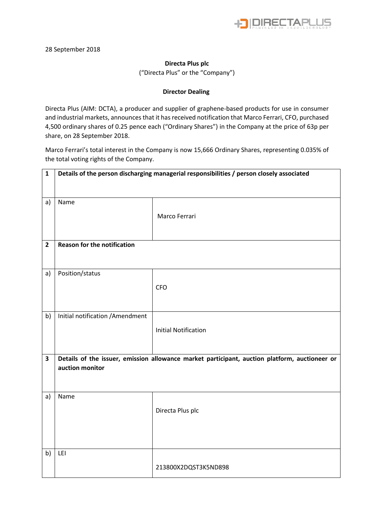

## **Directa Plus plc**

("Directa Plus" or the "Company")

## **Director Dealing**

Directa Plus (AIM: DCTA), a producer and supplier of graphene-based products for use in consumer and industrial markets, announces that it has received notification that Marco Ferrari, CFO, purchased 4,500 ordinary shares of 0.25 pence each ("Ordinary Shares") in the Company at the price of 63p per share, on 28 September 2018.

Marco Ferrari's total interest in the Company is now 15,666 Ordinary Shares, representing 0.035% of the total voting rights of the Company.

| $\mathbf{1}$            | Details of the person discharging managerial responsibilities / person closely associated                        |                             |  |  |  |
|-------------------------|------------------------------------------------------------------------------------------------------------------|-----------------------------|--|--|--|
| a)                      | Name                                                                                                             |                             |  |  |  |
|                         |                                                                                                                  | Marco Ferrari               |  |  |  |
|                         | <b>Reason for the notification</b>                                                                               |                             |  |  |  |
| $\overline{2}$          |                                                                                                                  |                             |  |  |  |
| a)                      | Position/status                                                                                                  |                             |  |  |  |
|                         |                                                                                                                  | <b>CFO</b>                  |  |  |  |
| b)                      | Initial notification / Amendment                                                                                 |                             |  |  |  |
|                         |                                                                                                                  | <b>Initial Notification</b> |  |  |  |
|                         |                                                                                                                  |                             |  |  |  |
| $\overline{\mathbf{3}}$ | Details of the issuer, emission allowance market participant, auction platform, auctioneer or<br>auction monitor |                             |  |  |  |
|                         |                                                                                                                  |                             |  |  |  |
| a)                      | Name                                                                                                             |                             |  |  |  |
|                         |                                                                                                                  | Directa Plus plc            |  |  |  |
|                         |                                                                                                                  |                             |  |  |  |
|                         |                                                                                                                  |                             |  |  |  |
| b)                      | LEI                                                                                                              |                             |  |  |  |
|                         |                                                                                                                  | 213800X2DQST3K5ND898        |  |  |  |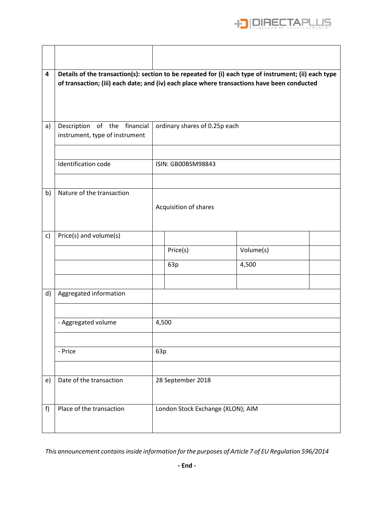

| 4            | Details of the transaction(s): section to be repeated for (i) each type of instrument; (ii) each type<br>of transaction; (iii) each date; and (iv) each place where transactions have been conducted |                                   |          |           |  |  |
|--------------|------------------------------------------------------------------------------------------------------------------------------------------------------------------------------------------------------|-----------------------------------|----------|-----------|--|--|
|              |                                                                                                                                                                                                      |                                   |          |           |  |  |
|              |                                                                                                                                                                                                      |                                   |          |           |  |  |
| a)           | Description of the financial<br>instrument, type of instrument                                                                                                                                       | ordinary shares of 0.25p each     |          |           |  |  |
|              | Identification code                                                                                                                                                                                  | ISIN: GB00BSM98843                |          |           |  |  |
| b)           | Nature of the transaction                                                                                                                                                                            |                                   |          |           |  |  |
|              |                                                                                                                                                                                                      | Acquisition of shares             |          |           |  |  |
|              |                                                                                                                                                                                                      |                                   |          |           |  |  |
| $\mathsf{c}$ | Price(s) and volume(s)                                                                                                                                                                               |                                   | Price(s) | Volume(s) |  |  |
|              |                                                                                                                                                                                                      |                                   | 63p      | 4,500     |  |  |
|              |                                                                                                                                                                                                      |                                   |          |           |  |  |
| d)           | Aggregated information                                                                                                                                                                               |                                   |          |           |  |  |
|              | - Aggregated volume                                                                                                                                                                                  |                                   | 4,500    |           |  |  |
|              |                                                                                                                                                                                                      | 63p                               |          |           |  |  |
|              | - Price                                                                                                                                                                                              |                                   |          |           |  |  |
| e)           | Date of the transaction                                                                                                                                                                              | 28 September 2018                 |          |           |  |  |
| f)           | Place of the transaction                                                                                                                                                                             | London Stock Exchange (XLON); AIM |          |           |  |  |

Г

*This announcement contains inside information for the purposes of Article 7 of EU Regulation 596/2014*